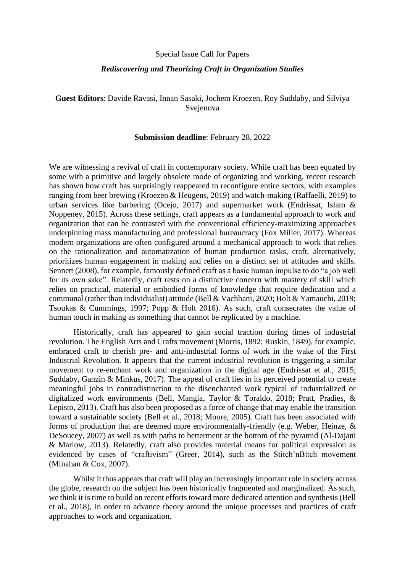### Special Issue Call for Papers

# *Rediscovering and Theorizing Craft in Organization Studies*

**Guest Editors**: Davide Ravasi, Innan Sasaki, Jochem Kroezen, Roy Suddaby, and Silviya Svejenova

### **Submission deadline**: February 28, 2022

We are witnessing a revival of craft in contemporary society. While craft has been equated by some with a primitive and largely obsolete mode of organizing and working, recent research has shown how craft has surprisingly reappeared to reconfigure entire sectors, with examples ranging from beer brewing (Kroezen & Heugens, 2019) and watch-making (Raffaelli, 2019) to urban services like barbering (Ocejo, 2017) and supermarket work (Endrissat, Islam & Noppeney, 2015). Across these settings, craft appears as a fundamental approach to work and organization that can be contrasted with the conventional efficiency-maximizing approaches underpinning mass manufacturing and professional bureaucracy (Fox Miller, 2017). Whereas modern organizations are often configured around a mechanical approach to work that relies on the rationalization and automatization of human production tasks, craft, alternatively, prioritizes human engagement in making and relies on a distinct set of attitudes and skills. Sennett (2008), for example, famously defined craft as a basic human impulse to do "a job well for its own sake". Relatedly, craft rests on a distinctive concern with mastery of skill which relies on practical, material or embodied forms of knowledge that require dedication and a communal (rather than individualist) attitude (Bell & Vachhani, 2020; Holt & Yamauchi, 2019; Tsoukas & Cummings, 1997; Popp & Holt 2016). As such, craft consecrates the value of human touch in making as something that cannot be replicated by a machine.

Historically, craft has appeared to gain social traction during times of industrial revolution. The English Arts and Crafts movement (Morris, 1892; Ruskin, 1849), for example, embraced craft to cherish pre- and anti-industrial forms of work in the wake of the First Industrial Revolution. It appears that the current industrial revolution is triggering a similar movement to re-enchant work and organization in the digital age (Endrissat et al., 2015; Suddaby, Ganzin & Minkus, 2017). The appeal of craft lies in its perceived potential to create meaningful jobs in contradistinction to the disenchanted work typical of industrialized or digitalized work environments (Bell, Mangia, Taylor & Toraldo, 2018; Pratt, Pradies, & Lepisto, 2013). Craft has also been proposed as a force of change that may enable the transition toward a sustainable society (Bell et al., 2018; Moore, 2005). Craft has been associated with forms of production that are deemed more environmentally-friendly (e.g. Weber, Heinze, & DeSoucey, 2007) as well as with paths to betterment at the bottom of the pyramid (Al-Dajani & Marlow, 2013). Relatedly, craft also provides material means for political expression as evidenced by cases of "craftivism" (Greer, 2014), such as the Stitch'nBitch movement (Minahan & Cox, 2007).

Whilst it thus appears that craft will play an increasingly important role in society across the globe, research on the subject has been historically fragmented and marginalized. As such, we think it is time to build on recent efforts toward more dedicated attention and synthesis (Bell et al., 2018), in order to advance theory around the unique processes and practices of craft approaches to work and organization.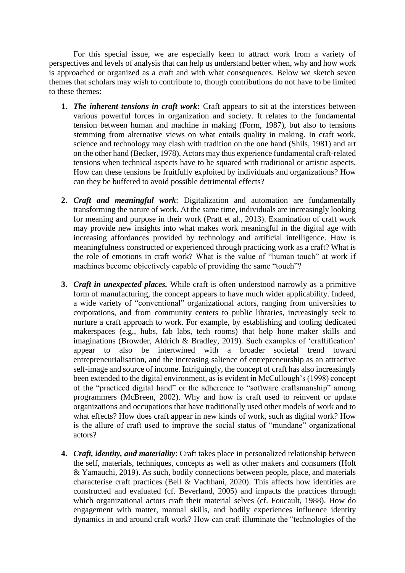For this special issue, we are especially keen to attract work from a variety of perspectives and levels of analysis that can help us understand better when, why and how work is approached or organized as a craft and with what consequences. Below we sketch seven themes that scholars may wish to contribute to, though contributions do not have to be limited to these themes:

- **1.** *The inherent tensions in craft work*: Craft appears to sit at the interstices between various powerful forces in organization and society. It relates to the fundamental tension between human and machine in making (Form, 1987), but also to tensions stemming from alternative views on what entails quality in making. In craft work, science and technology may clash with tradition on the one hand (Shils, 1981) and art on the other hand (Becker, 1978). Actors may thus experience fundamental craft-related tensions when technical aspects have to be squared with traditional or artistic aspects. How can these tensions be fruitfully exploited by individuals and organizations? How can they be buffered to avoid possible detrimental effects?
- **2.** *Craft and meaningful work*: Digitalization and automation are fundamentally transforming the nature of work. At the same time, individuals are increasingly looking for meaning and purpose in their work (Pratt et al., 2013). Examination of craft work may provide new insights into what makes work meaningful in the digital age with increasing affordances provided by technology and artificial intelligence. How is meaningfulness constructed or experienced through practicing work as a craft? What is the role of emotions in craft work? What is the value of "human touch" at work if machines become objectively capable of providing the same "touch"?
- **3.** *Craft in unexpected places.* While craft is often understood narrowly as a primitive form of manufacturing, the concept appears to have much wider applicability. Indeed, a wide variety of "conventional" organizational actors, ranging from universities to corporations, and from community centers to public libraries, increasingly seek to nurture a craft approach to work. For example, by establishing and tooling dedicated makerspaces (e.g., hubs, fab labs, tech rooms) that help hone maker skills and imaginations (Browder, Aldrich & Bradley, 2019). Such examples of 'craftification' appear to also be intertwined with a broader societal trend toward entrepreneurialisation, and the increasing salience of entrepreneurship as an attractive self-image and source of income. Intriguingly, the concept of craft has also increasingly been extended to the digital environment, as is evident in McCullough's (1998) concept of the "practiced digital hand" or the adherence to "software craftsmanship" among programmers (McBreen, 2002). Why and how is craft used to reinvent or update organizations and occupations that have traditionally used other models of work and to what effects? How does craft appear in new kinds of work, such as digital work? How is the allure of craft used to improve the social status of "mundane" organizational actors?
- **4.** *Craft, identity, and materiality*: Craft takes place in personalized relationship between the self, materials, techniques, concepts as well as other makers and consumers (Holt & Yamauchi, 2019). As such, bodily connections between people, place, and materials characterise craft practices (Bell & Vachhani, 2020). This affects how identities are constructed and evaluated (cf. Beverland, 2005) and impacts the practices through which organizational actors craft their material selves (cf. Foucault, 1988). How do engagement with matter, manual skills, and bodily experiences influence identity dynamics in and around craft work? How can craft illuminate the "technologies of the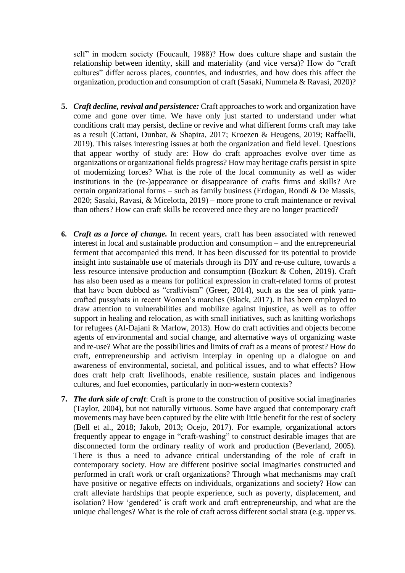self" in modern society (Foucault, 1988)? How does culture shape and sustain the relationship between identity, skill and materiality (and vice versa)? How do "craft cultures" differ across places, countries, and industries, and how does this affect the organization, production and consumption of craft (Sasaki, Nummela & Ravasi, 2020)?

- **5.** *Craft decline, revival and persistence:* Craft approaches to work and organization have come and gone over time. We have only just started to understand under what conditions craft may persist, decline or revive and what different forms craft may take as a result (Cattani, Dunbar, & Shapira, 2017; Kroezen & Heugens, 2019; Raffaelli, 2019). This raises interesting issues at both the organization and field level. Questions that appear worthy of study are: How do craft approaches evolve over time as organizations or organizational fields progress? How may heritage crafts persist in spite of modernizing forces? What is the role of the local community as well as wider institutions in the (re-)appearance or disappearance of crafts firms and skills? Are certain organizational forms – such as family business (Erdogan, Rondi & De Massis, 2020; Sasaki, Ravasi, & Micelotta, 2019) – more prone to craft maintenance or revival than others? How can craft skills be recovered once they are no longer practiced?
- **6.** *Craft as a force of change.* In recent years, craft has been associated with renewed interest in local and sustainable production and consumption – and the entrepreneurial ferment that accompanied this trend. It has been discussed for its potential to provide insight into sustainable use of materials through its DIY and re-use culture, towards a less resource intensive production and consumption (Bozkurt & Cohen, 2019). Craft has also been used as a means for political expression in craft-related forms of protest that have been dubbed as "craftivism" (Greer, 2014), such as the sea of pink yarncrafted pussyhats in recent Women's marches (Black, 2017). It has been employed to draw attention to vulnerabilities and mobilize against injustice, as well as to offer support in healing and relocation, as with small initiatives, such as knitting workshops for refugees (Al-Dajani & Marlow, 2013). How do craft activities and objects become agents of environmental and social change, and alternative ways of organizing waste and re-use? What are the possibilities and limits of craft as a means of protest? How do craft, entrepreneurship and activism interplay in opening up a dialogue on and awareness of environmental, societal, and political issues, and to what effects? How does craft help craft livelihoods, enable resilience, sustain places and indigenous cultures, and fuel economies, particularly in non-western contexts?
- **7.** *The dark side of craft*: Craft is prone to the construction of positive social imaginaries (Taylor, 2004), but not naturally virtuous. Some have argued that contemporary craft movements may have been captured by the elite with little benefit for the rest of society (Bell et al., 2018; Jakob, 2013; Ocejo, 2017). For example, organizational actors frequently appear to engage in "craft-washing" to construct desirable images that are disconnected form the ordinary reality of work and production (Beverland, 2005). There is thus a need to advance critical understanding of the role of craft in contemporary society. How are different positive social imaginaries constructed and performed in craft work or craft organizations? Through what mechanisms may craft have positive or negative effects on individuals, organizations and society? How can craft alleviate hardships that people experience, such as poverty, displacement, and isolation? How 'gendered' is craft work and craft entrepreneurship, and what are the unique challenges? What is the role of craft across different social strata (e.g. upper vs.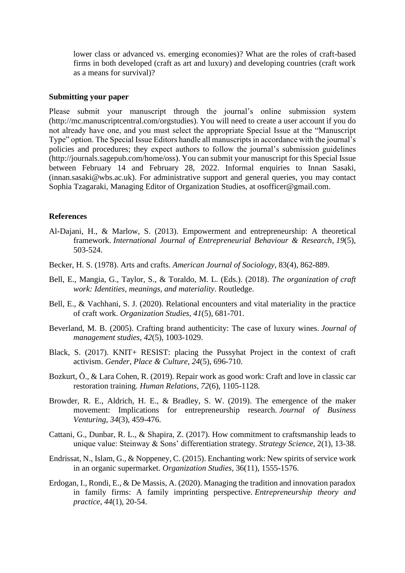lower class or advanced vs. emerging economies)? What are the roles of craft-based firms in both developed (craft as art and luxury) and developing countries (craft work as a means for survival)?

### **Submitting your paper**

Please submit your manuscript through the journal's online submission system (http://mc.manuscriptcentral.com/orgstudies). You will need to create a user account if you do not already have one, and you must select the appropriate Special Issue at the "Manuscript Type" option. The Special Issue Editors handle all manuscripts in accordance with the journal's policies and procedures; they expect authors to follow the journal's submission guidelines (http://journals.sagepub.com/home/oss). You can submit your manuscript for this Special Issue between February 14 and February 28, 2022. Informal enquiries to Innan Sasaki, (innan.sasaki@wbs.ac.uk). For administrative support and general queries, you may contact Sophia Tzagaraki, Managing Editor of Organization Studies, at osofficer@gmail.com.

# **References**

- Al-Dajani, H., & Marlow, S. (2013). Empowerment and entrepreneurship: A theoretical framework. *International Journal of Entrepreneurial Behaviour & Research*, *19*(5), 503-524.
- Becker, H. S. (1978). Arts and crafts. *American Journal of Sociology*, 83(4), 862-889.
- Bell, E., Mangia, G., Taylor, S., & Toraldo, M. L. (Eds.). (2018). *The organization of craft work: Identities, meanings, and materiality*. Routledge.
- Bell, E., & Vachhani, S. J. (2020). Relational encounters and vital materiality in the practice of craft work. *Organization Studies*, *41*(5), 681-701.
- Beverland, M. B. (2005). Crafting brand authenticity: The case of luxury wines. *Journal of management studies*, *42*(5), 1003-1029.
- Black, S. (2017). KNIT+ RESIST: placing the Pussyhat Project in the context of craft activism. *Gender, Place & Culture*, *24*(5), 696-710.
- Bozkurt, Ö., & Lara Cohen, R. (2019). Repair work as good work: Craft and love in classic car restoration training. *Human Relations*, *72*(6), 1105-1128.
- Browder, R. E., Aldrich, H. E., & Bradley, S. W. (2019). The emergence of the maker movement: Implications for entrepreneurship research. *Journal of Business Venturing*, *34*(3), 459-476.
- Cattani, G., Dunbar, R. L., & Shapira, Z. (2017). How commitment to craftsmanship leads to unique value: Steinway & Sons' differentiation strategy. *Strategy Science*, 2(1), 13-38.
- Endrissat, N., Islam, G., & Noppeney, C. (2015). Enchanting work: New spirits of service work in an organic supermarket. *Organization Studies*, 36(11), 1555-1576.
- Erdogan, I., Rondi, E., & De Massis, A. (2020). Managing the tradition and innovation paradox in family firms: A family imprinting perspective. *Entrepreneurship theory and practice*, *44*(1), 20-54.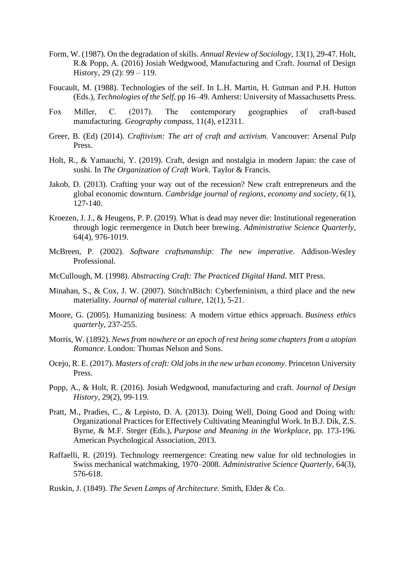- Form, W. (1987). On the degradation of skills. *Annual Review of Sociology*, 13(1), 29-47. Holt, R.& Popp, A. (2016) Josiah Wedgwood, Manufacturing and Craft. Journal of Design History, 29 (2): 99 – 119.
- Foucault, M. (1988). Technologies of the self. In L.H. Martin, H. Gutman and P.H. Hutton (Eds.), *Technologies of the Self*, pp 16–49. Amherst: University of Massachusetts Press.
- Fox Miller, C. (2017). The contemporary geographies of craft-based manufacturing. *Geography compass*, 11(4), e12311.
- Greer, B. (Ed) (2014). *Craftivism: The art of craft and activism.* Vancouver: Arsenal Pulp Press.
- Holt, R., & Yamauchi, Y. (2019). Craft, design and nostalgia in modern Japan: the case of sushi. In *The Organization of Craft Work*. Taylor & Francis.
- Jakob, D. (2013). Crafting your way out of the recession? New craft entrepreneurs and the global economic downturn. *Cambridge journal of regions, economy and society*, 6(1), 127-140.
- Kroezen, J. J., & Heugens, P. P. (2019). What is dead may never die: Institutional regeneration through logic reemergence in Dutch beer brewing. *Administrative Science Quarterly*, 64(4), 976-1019.
- McBreen, P. (2002). *Software craftsmanship: The new imperative*. Addison-Wesley Professional.
- McCullough, M. (1998). *Abstracting Craft: The Practiced Digital Hand*. MIT Press.
- Minahan, S., & Cox, J. W. (2007). Stitch'nBitch: Cyberfeminism, a third place and the new materiality. *Journal of material culture*, 12(1), 5-21.
- Moore, G. (2005). Humanizing business: A modern virtue ethics approach. *Business ethics quarterly*, 237-255.
- Morris, W. (1892). *News from nowhere or an epoch of rest being some chapters from a utopian Romance.* London: Thomas Nelson and Sons.
- Ocejo, R. E. (2017). *Masters of craft: Old jobs in the new urban economy*. Princeton University Press.
- Popp, A., & Holt, R. (2016). Josiah Wedgwood, manufacturing and craft. *Journal of Design History*, 29(2), 99-119.
- Pratt, M., Pradies, C., & Lepisto, D. A. (2013). Doing Well, Doing Good and Doing with: Organizational Practices for Effectively Cultivating Meaningful Work. In B.J. Dik, Z.S. Byrne, & M.F. Steger (Eds.), *Purpose and Meaning in the Workplace*, pp. 173-196*.* American Psychological Association, 2013.
- Raffaelli, R. (2019). Technology reemergence: Creating new value for old technologies in Swiss mechanical watchmaking, 1970–2008. *Administrative Science Quarterly*, 64(3), 576-618.
- Ruskin, J. (1849). *The Seven Lamps of Architecture*. Smith, Elder & Co.